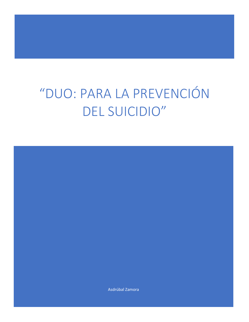# "DUO: PARA LA PREVENCIÓN DEL SUICIDIO"

Asdrúbal Zamora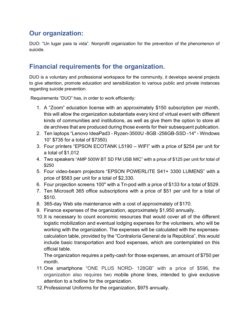## **Our organization:**

DUO: "Un lugar para la vida". Nonprofit organization for the prevention of the phenomenon of suicide.

## **Financial requirements for the organization.**

DUO is a voluntary and professional workspace for the community, it develops several projects to give attention, promote education and sensibilization to various public and private instances regarding suicide prevention.

Requirements "DUO" has, in order to work efficiently:

- 1. A "Zoom" education license with an approximately \$150 subscription per month, this will allow the organization substantiate every kind of virtual event with different kinds of communities and institutions, as well as give them the option to store all de archives that are produced during those events for their subsequent publication.
- 2. Ten laptops "Lenovo IdeaPad3 Ryzen-3500U -8GB -256GB-SSD -14" Windows 10" \$735 for a total of \$7350)
- 3. Four printers "EPSON ECOTANK L5190 WIFI" with a price of \$254 per unit for a total of \$1,012
- 4. Two speakers "AMP 500W BT SD FM USB MIC" with a price of \$125 per unit for total of \$250
- 5. Four video-beam projectors "EPSON POWERLITE S41+ 3300 LUMENS" with a price of \$583 per unit for a total of \$2,330.
- 6. Four projection screens 100" with a Tri-pod with a price of \$133 for a total of \$529.
- 7. Ten Microsoft 365 office subscriptions with a price of \$51 per unit for a total of \$510.
- 8. 365-day Web site maintenance with a cost of approximately of \$170.
- 9. Finance expenses of the organization, approximately \$1,950 annually.
- 10.It is necessary to count economic resources that would cover all of the different logistic mobilization and eventual lodging expenses for the volunteers, who will be working with the organization. The expenses will be calculated with the expensescalculation table, provided by the "Contraloría General de la República", this would include basic transportation and food expenses, which are contemplated on this official table.

The organization requires a petty-cash for those expenses, an amount of \$750 per month.

- 11.One smartphone "ONE PLUS NORD- 128GB" with a price of \$596, the organization also requires two mobile phone lines, intended to give exclusive attention to a hotline for the organization.
- 12.Professional Uniforms for the organization, \$975 annually.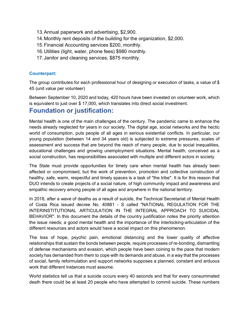- 13.Annual paperwork and advertising, \$2,900.
- 14.Monthly rent deposits of the building for the organization, \$2,000.
- 15.Financial Accounting services \$200, monthly.
- 16.Utilities (light, water, phone fees) \$980 monthly.
- 17.Janitor and cleaning services, \$875 monthly.

#### **Counterpart:**

The group contributes for each professional hour of designing or execution of tasks, a value of \$ 45 (unit value per volunteer)

Between September 10, 2020 and today, 420 hours have been invested on volunteer work, which is equivalent to just over \$ 17,000, which translates into direct social investment.

#### **Foundation or justification:**

Mental health is one of the main challenges of the century. The pandemic came to enhance the needs already neglected for years in our society. The digital age, social networks and the hectic world of consumption, puts people of all ages in serious existential conflicts. In particular, our young population (between 14 and 34 years old) is subjected to extreme pressures, scales of assessment and success that are beyond the reach of many people, due to social inequalities, educational challenges and growing unemployment situations. Mental health, conceived as a social construction, has responsibilities associated with multiple and different actors in society.

The State must provide opportunities for timely care when mental health has already been affected or compromised, but the work of prevention, promotion and collective construction of healthy, safe, warm, respectful and timely spaces is a task of "the tribe". It is for this reason that DUO intends to create projects of a social nature, of high community impact and awareness and empathic recovery among people of all ages and anywhere in the national territory.

In 2018, after a wave of deaths as a result of suicide, the Technical Secretariat of Mental Health of Costa Rica issued decree No. 40881 - S called "NATIONAL REGULATION FOR THE INTERINSTITUTIONAL ARTICULATION IN THE INTEGRAL APPROACH TO SUICIDAL BEHAVIOR". In this document the details of the country justification notes the priority attention the issue needs; a good mental health and the importance of the interlocking-articulation of the different resources and actors would have a social impact on this phenomenon.

The loss of hope, psychic pain, emotional distancing and the lower quality of affective relationships that sustain the bonds between people, require processes of re-bonding, dismantling of defense mechanisms and evasion, which people have been coining to the pace that modern society has demanded from them to cope with its demands and abuse, in a way that the processes of social, family reformulation and support networks supposes a planned, constant and arduous work that different instances must assume.

World statistics tell us that a suicide occurs every 40 seconds and that for every consummated death there could be at least 20 people who have attempted to commit suicide. These numbers